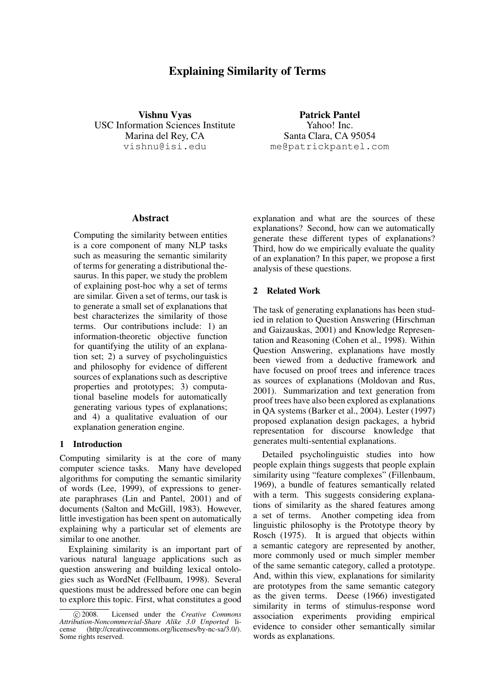# Explaining Similarity of Terms

Vishnu Vyas USC Information Sciences Institute Marina del Rey, CA vishnu@isi.edu

Patrick Pantel Yahoo! Inc. Santa Clara, CA 95054 me@patrickpantel.com

### Abstract

Computing the similarity between entities is a core component of many NLP tasks such as measuring the semantic similarity of terms for generating a distributional thesaurus. In this paper, we study the problem of explaining post-hoc why a set of terms are similar. Given a set of terms, our task is to generate a small set of explanations that best characterizes the similarity of those terms. Our contributions include: 1) an information-theoretic objective function for quantifying the utility of an explanation set; 2) a survey of psycholinguistics and philosophy for evidence of different sources of explanations such as descriptive properties and prototypes; 3) computational baseline models for automatically generating various types of explanations; and 4) a qualitative evaluation of our explanation generation engine.

# 1 Introduction

Computing similarity is at the core of many computer science tasks. Many have developed algorithms for computing the semantic similarity of words (Lee, 1999), of expressions to generate paraphrases (Lin and Pantel, 2001) and of documents (Salton and McGill, 1983). However, little investigation has been spent on automatically explaining why a particular set of elements are similar to one another.

Explaining similarity is an important part of various natural language applications such as question answering and building lexical ontologies such as WordNet (Fellbaum, 1998). Several questions must be addressed before one can begin to explore this topic. First, what constitutes a good

explanation and what are the sources of these explanations? Second, how can we automatically generate these different types of explanations? Third, how do we empirically evaluate the quality of an explanation? In this paper, we propose a first analysis of these questions.

### 2 Related Work

The task of generating explanations has been studied in relation to Question Answering (Hirschman and Gaizauskas, 2001) and Knowledge Representation and Reasoning (Cohen et al., 1998). Within Question Answering, explanations have mostly been viewed from a deductive framework and have focused on proof trees and inference traces as sources of explanations (Moldovan and Rus, 2001). Summarization and text generation from proof trees have also been explored as explanations in QA systems (Barker et al., 2004). Lester (1997) proposed explanation design packages, a hybrid representation for discourse knowledge that generates multi-sentential explanations.

Detailed psycholinguistic studies into how people explain things suggests that people explain similarity using "feature complexes" (Fillenbaum, 1969), a bundle of features semantically related with a term. This suggests considering explanations of similarity as the shared features among a set of terms. Another competing idea from linguistic philosophy is the Prototype theory by Rosch (1975). It is argued that objects within a semantic category are represented by another, more commonly used or much simpler member of the same semantic category, called a prototype. And, within this view, explanations for similarity are prototypes from the same semantic category as the given terms. Deese (1966) investigated similarity in terms of stimulus-response word association experiments providing empirical evidence to consider other semantically similar words as explanations.

c 2008. Licensed under the *Creative Commons Attribution-Noncommercial-Share Alike 3.0 Unported* license (http://creativecommons.org/licenses/by-nc-sa/3.0/). Some rights reserved.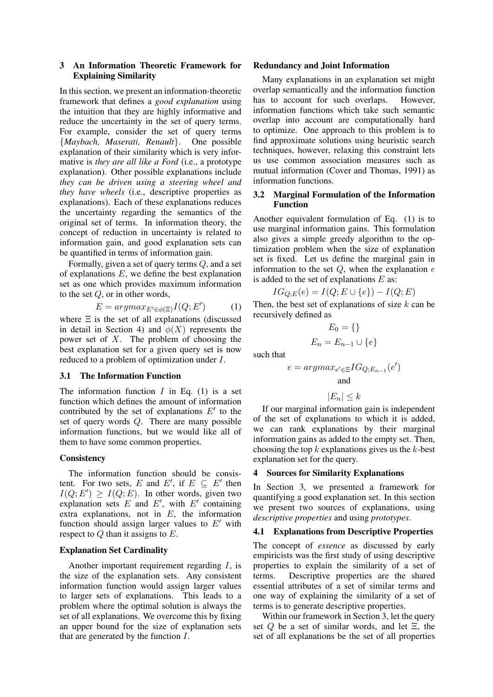# 3 An Information Theoretic Framework for Explaining Similarity

In this section, we present an information-theoretic framework that defines a *good explanation* using the intuition that they are highly informative and reduce the uncertainty in the set of query terms. For example, consider the set of query terms {*Maybach, Maserati, Renault*}. One possible explanation of their similarity which is very informative is *they are all like a Ford* (i.e., a prototype explanation). Other possible explanations include *they can be driven using a steering wheel and they have wheels* (i.e., descriptive properties as explanations). Each of these explanations reduces the uncertainty regarding the semantics of the original set of terms. In information theory, the concept of reduction in uncertainty is related to information gain, and good explanation sets can be quantified in terms of information gain.

Formally, given a set of query terms Q, and a set of explanations  $E$ , we define the best explanation set as one which provides maximum information to the set Q, or in other words,

$$
E = argmax_{E' \in \phi(\Xi)} I(Q; E')
$$
 (1)

where  $\Xi$  is the set of all explanations (discussed in detail in Section 4) and  $\phi(X)$  represents the power set of X. The problem of choosing the best explanation set for a given query set is now reduced to a problem of optimization under I.

### 3.1 The Information Function

The information function  $I$  in Eq. (1) is a set function which defines the amount of information contributed by the set of explanations  $E'$  to the set of query words Q. There are many possible information functions, but we would like all of them to have some common properties.

#### **Consistency**

The information function should be consistent. For two sets, E and E', if  $E \subseteq E'$  then  $I(Q; E') \geq I(Q; E)$ . In other words, given two explanation sets  $E$  and  $E'$ , with  $E'$  containing extra explanations, not in  $E$ , the information function should assign larger values to  $E'$  with respect to  $Q$  than it assigns to  $E$ .

### Explanation Set Cardinality

Another important requirement regarding I, is the size of the explanation sets. Any consistent information function would assign larger values to larger sets of explanations. This leads to a problem where the optimal solution is always the set of all explanations. We overcome this by fixing an upper bound for the size of explanation sets that are generated by the function I.

#### Redundancy and Joint Information

Many explanations in an explanation set might overlap semantically and the information function has to account for such overlaps. However, information functions which take such semantic overlap into account are computationally hard to optimize. One approach to this problem is to find approximate solutions using heuristic search techniques, however, relaxing this constraint lets us use common association measures such as mutual information (Cover and Thomas, 1991) as information functions.

# 3.2 Marginal Formulation of the Information Function

Another equivalent formulation of Eq. (1) is to use marginal information gains. This formulation also gives a simple greedy algorithm to the optimization problem when the size of explanation set is fixed. Let us define the marginal gain in information to the set  $Q$ , when the explanation  $e$ is added to the set of explanations  $E$  as:

$$
IG_{Q;E}(e) = I(Q; E \cup \{e\}) - I(Q; E)
$$

Then, the best set of explanations of size  $k$  can be recursively defined as

$$
E_0 = \{\}
$$

$$
E_n = E_{n-1} \cup \{e\}
$$

such that

$$
e = argmax_{e' \in \Xi} IG_{Q; E_{n-1}}(e')
$$
  
and

$$
|E_n| \leq k
$$

If our marginal information gain is independent of the set of explanations to which it is added, we can rank explanations by their marginal information gains as added to the empty set. Then, choosing the top  $k$  explanations gives us the  $k$ -best explanation set for the query.

#### 4 Sources for Similarity Explanations

In Section 3, we presented a framework for quantifying a good explanation set. In this section we present two sources of explanations, using *descriptive properties* and using *prototypes*.

# 4.1 Explanations from Descriptive Properties

The concept of *essence* as discussed by early empiricists was the first study of using descriptive properties to explain the similarity of a set of terms. Descriptive properties are the shared essential attributes of a set of similar terms and one way of explaining the similarity of a set of terms is to generate descriptive properties.

Within our framework in Section 3, let the query set  $Q$  be a set of similar words, and let  $\Xi$ , the set of all explanations be the set of all properties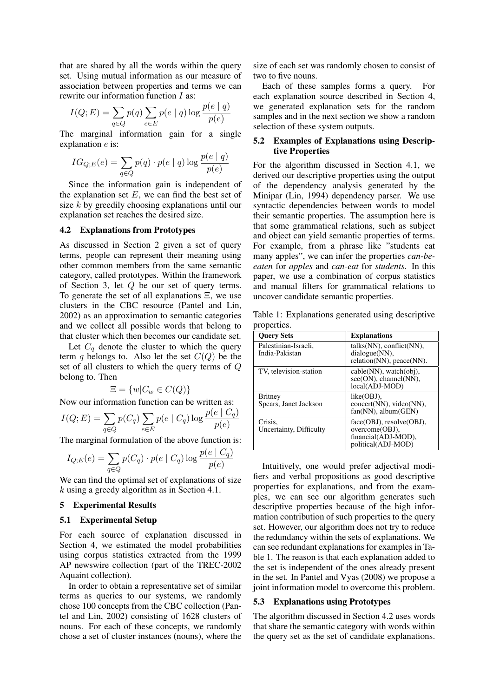that are shared by all the words within the query set. Using mutual information as our measure of association between properties and terms we can rewrite our information function I as:

$$
I(Q; E) = \sum_{q \in Q} p(q) \sum_{e \in E} p(e \mid q) \log \frac{p(e \mid q)}{p(e)}
$$

The marginal information gain for a single explanation e is:

$$
IG_{Q;E}(e) = \sum_{q \in Q} p(q) \cdot p(e \mid q) \log \frac{p(e \mid q)}{p(e)}
$$

Since the information gain is independent of the explanation set  $E$ , we can find the best set of size k by greedily choosing explanations until our explanation set reaches the desired size.

### 4.2 Explanations from Prototypes

As discussed in Section 2 given a set of query terms, people can represent their meaning using other common members from the same semantic category, called prototypes. Within the framework of Section 3, let Q be our set of query terms. To generate the set of all explanations Ξ, we use clusters in the CBC resource (Pantel and Lin, 2002) as an approximation to semantic categories and we collect all possible words that belong to that cluster which then becomes our candidate set.

Let  $C_q$  denote the cluster to which the query term q belongs to. Also let the set  $C(Q)$  be the set of all clusters to which the query terms of Q belong to. Then

$$
\Xi = \{w | C_w \in C(Q)\}
$$

Now our information function can be written as:

$$
I(Q; E) = \sum_{q \in Q} p(C_q) \sum_{e \in E} p(e \mid C_q) \log \frac{p(e \mid C_q)}{p(e)}
$$

The marginal formulation of the above function is:

$$
I_{Q;E}(e) = \sum_{q \in Q} p(C_q) \cdot p(e \mid C_q) \log \frac{p(e \mid C_q)}{p(e)}
$$

We can find the optimal set of explanations of size k using a greedy algorithm as in Section 4.1.

### 5 Experimental Results

#### 5.1 Experimental Setup

For each source of explanation discussed in Section 4, we estimated the model probabilities using corpus statistics extracted from the 1999 AP newswire collection (part of the TREC-2002 Aquaint collection).

In order to obtain a representative set of similar terms as queries to our systems, we randomly chose 100 concepts from the CBC collection (Pantel and Lin, 2002) consisting of 1628 clusters of nouns. For each of these concepts, we randomly chose a set of cluster instances (nouns), where the

size of each set was randomly chosen to consist of two to five nouns.

Each of these samples forms a query. For each explanation source described in Section 4, we generated explanation sets for the random samples and in the next section we show a random selection of these system outputs.

### 5.2 Examples of Explanations using Descriptive Properties

For the algorithm discussed in Section 4.1, we derived our descriptive properties using the output of the dependency analysis generated by the Minipar (Lin, 1994) dependency parser. We use syntactic dependencies between words to model their semantic properties. The assumption here is that some grammatical relations, such as subject and object can yield semantic properties of terms. For example, from a phrase like "students eat many apples", we can infer the properties *can-beeaten* for *apples* and *can-eat* for *students*. In this paper, we use a combination of corpus statistics and manual filters for grammatical relations to uncover candidate semantic properties.

Table 1: Explanations generated using descriptive properties.

| <b>Query Sets</b>                       | <b>Explanations</b>                                                                            |
|-----------------------------------------|------------------------------------------------------------------------------------------------|
| Palestinian-Israeli.<br>India-Pakistan  | talks(NN), conflict(NN),<br>dialogue(NN),<br>$relation(NN)$ , $peace(NN)$ .                    |
| TV, television-station                  | $cable(NN)$ , watch $(obj)$ ,<br>$see (ON)$ , channel(NN),<br>local(ADJ-MOD)                   |
| <b>Britney</b><br>Spears, Janet Jackson | $like(OBJ)$ ,<br>concert(NN), video(NN),<br>$fan(NN)$ , album $(GEN)$                          |
| Crisis.<br>Uncertainty, Difficulty      | $face(OBJ)$ , resolve $(OBJ)$ .<br>overcome(OBJ),<br>financial(ADJ-MOD),<br>political(ADJ-MOD) |

Intuitively, one would prefer adjectival modifiers and verbal propositions as good descriptive properties for explanations, and from the examples, we can see our algorithm generates such descriptive properties because of the high information contribution of such properties to the query set. However, our algorithm does not try to reduce the redundancy within the sets of explanations. We can see redundant explanations for examples in Table 1. The reason is that each explanation added to the set is independent of the ones already present in the set. In Pantel and Vyas (2008) we propose a joint information model to overcome this problem.

# 5.3 Explanations using Prototypes

The algorithm discussed in Section 4.2 uses words that share the semantic category with words within the query set as the set of candidate explanations.